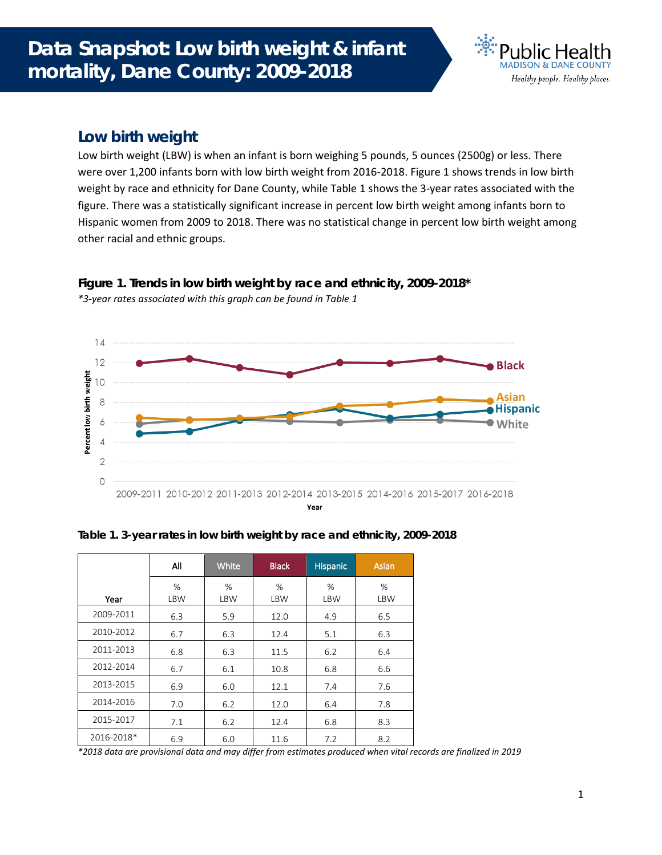

## **Low birth weight**

Low birth weight (LBW) is when an infant is born weighing 5 pounds, 5 ounces (2500g) or less. There were over 1,200 infants born with low birth weight from 2016-2018. Figure 1 shows trends in low birth weight by race and ethnicity for Dane County, while Table 1 shows the 3-year rates associated with the figure. There was a statistically significant increase in percent low birth weight among infants born to Hispanic women from 2009 to 2018. There was no statistical change in percent low birth weight among other racial and ethnic groups.



**Figure 1. Trends in low birth weight by race and ethnicity, 2009-2018\*** *\*3-year rates associated with this graph can be found in Table 1*

|  | Table 1. 3-year rates in low birth weight by race and ethnicity, 2009-2018 |  |
|--|----------------------------------------------------------------------------|--|

|            | All             | <b>White</b>    | <b>Black</b>       | <b>Hispanic</b> | Asian    |
|------------|-----------------|-----------------|--------------------|-----------------|----------|
| Year       | %<br><b>LBW</b> | %<br><b>LBW</b> | $\%$<br><b>LBW</b> | %<br><b>LBW</b> | %<br>LBW |
| 2009-2011  | 6.3             | 5.9             | 12.0               | 4.9             | 6.5      |
| 2010-2012  | 6.7             | 6.3             | 12.4               | 5.1             | 6.3      |
| 2011-2013  | 6.8             | 6.3             | 11.5               | 6.2             | 6.4      |
| 2012-2014  | 6.7             | 6.1             | 10.8               | 6.8             | 6.6      |
| 2013-2015  | 6.9             | 6.0             | 12.1               | 7.4             | 7.6      |
| 2014-2016  | 7.0             | 6.2             | 12.0               | 6.4             | 7.8      |
| 2015-2017  | 7.1             | 6.2             | 12.4               | 6.8             | 8.3      |
| 2016-2018* | 6.9             | 6.0             | 11.6               | 7.2             | 8.2      |

*\*2018 data are provisional data and may differ from estimates produced when vital records are finalized in 2019*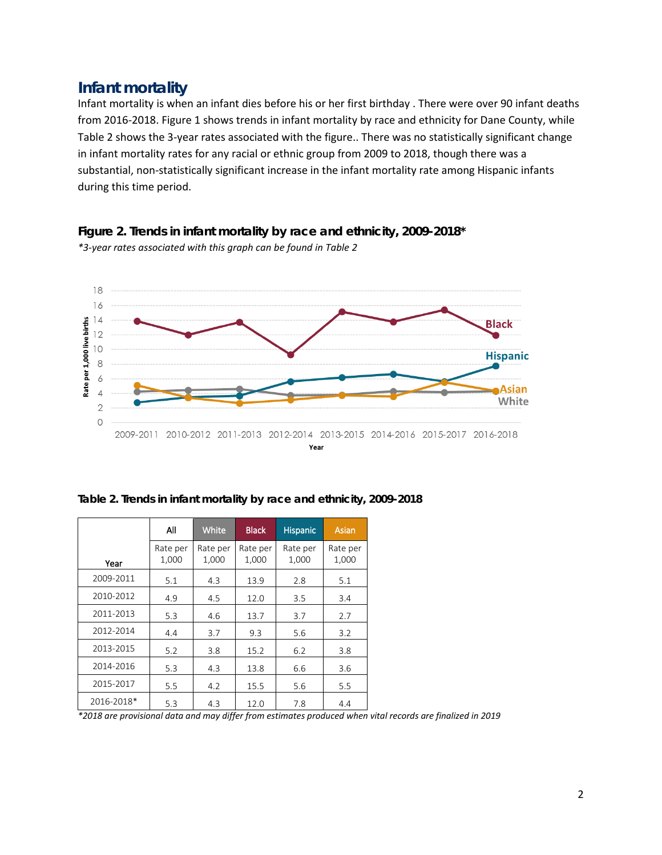## **Infant mortality**

Infant mortality is when an infant dies before his or her first birthday . There were over 90 infant deaths from 2016-2018. Figure 1 shows trends in infant mortality by race and ethnicity for Dane County, while Table 2 shows the 3-year rates associated with the figure.. There was no statistically significant change in infant mortality rates for any racial or ethnic group from 2009 to 2018, though there was a substantial, non-statistically significant increase in the infant mortality rate among Hispanic infants during this time period.



Year

**Figure 2. Trends in infant mortality by race and ethnicity, 2009-2018\*** *\*3-year rates associated with this graph can be found in Table 2*

|  | Table 2. Trends in infant mortality by race and ethnicity, 2009-2018 |  |  |  |
|--|----------------------------------------------------------------------|--|--|--|
|  |                                                                      |  |  |  |

|            | All               | <b>White</b>      | <b>Black</b><br><b>Hispanic</b> |                   | Asian             |
|------------|-------------------|-------------------|---------------------------------|-------------------|-------------------|
| Year       | Rate per<br>1,000 | Rate per<br>1,000 | Rate per<br>1,000               | Rate per<br>1,000 | Rate per<br>1,000 |
| 2009-2011  | 5.1               | 4.3               | 13.9                            | 2.8               | 5.1               |
| 2010-2012  | 4.9               | 4.5               | 12.0                            | 3.5               | 3.4               |
| 2011-2013  | 5.3               | 4.6               | 13.7                            | 3.7               | 2.7               |
| 2012-2014  | 4.4               | 3.7               | 9.3                             | 5.6               | 3.2               |
| 2013-2015  | 5.2               | 3.8               | 15.2                            | 6.2               | 3.8               |
| 2014-2016  | 5.3               | 4.3               | 13.8                            | 6.6               | 3.6               |
| 2015-2017  | 5.5               | 4.2               | 15.5                            | 5.6               | 5.5               |
| 2016-2018* | 5.3               | 4.3               | 12.0                            | 7.8               | 4.4               |

*\*2018 are provisional data and may differ from estimates produced when vital records are finalized in 2019*